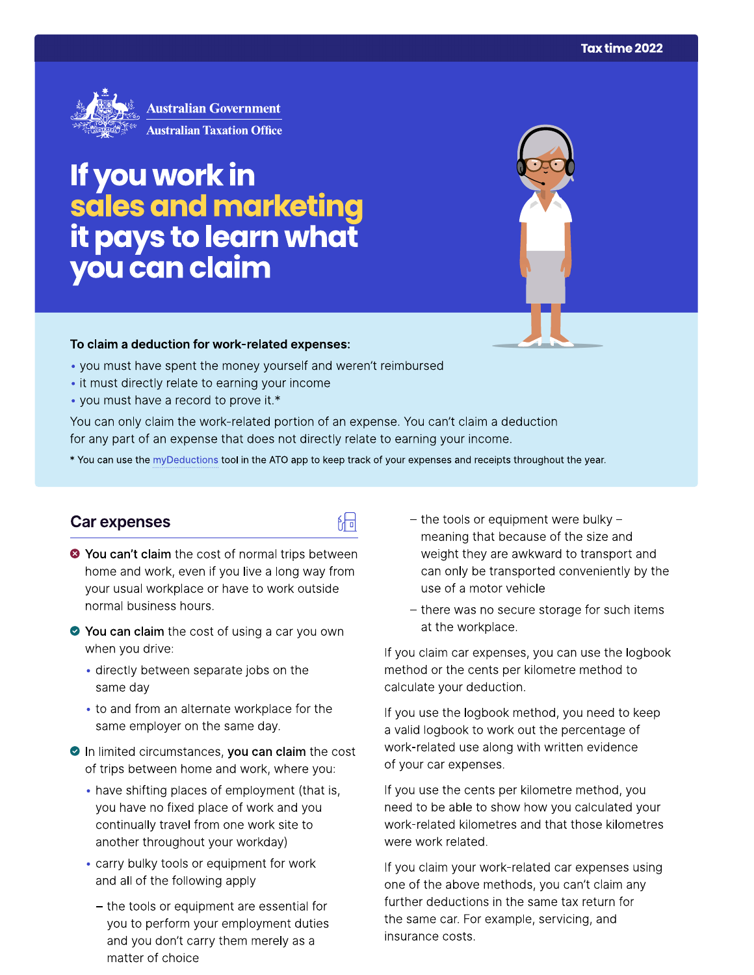

# If you work in sales and marketing<br>it pays to learn what you can claim

#### To claim a deduction for work-related expenses:

- you must have spent the money yourself and weren't reimbursed
- it must directly relate to earning your income
- you must have a record to prove it.\*

You can only claim the work-related portion of an expense. You can't claim a deduction for any part of an expense that does not directly relate to earning your income.

\* You can use the myDeductions tool in the ATO app to keep track of your expenses and receipts throughout the year.

品

#### Car expenses

- <sup>●</sup> You can't claim the cost of normal trips between home and work, even if you live a long way from your usual workplace or have to work outside normal business hours.
- ◆ You can claim the cost of using a car you own when you drive:
	- · directly between separate jobs on the same day
	- to and from an alternate workplace for the same employer on the same day.
- In limited circumstances, you can claim the cost of trips between home and work, where you:
	- have shifting places of employment (that is, you have no fixed place of work and you continually travel from one work site to another throughout your workday)
	- carry bulky tools or equipment for work and all of the following apply
		- the tools or equipment are essential for you to perform your employment duties and you don't carry them merely as a matter of choice
- $-$  the tools or equipment were bulky  $$ meaning that because of the size and weight they are awkward to transport and can only be transported conveniently by the use of a motor vehicle
- there was no secure storage for such items at the workplace.

If you claim car expenses, you can use the logbook method or the cents per kilometre method to calculate your deduction.

If you use the logbook method, you need to keep a valid logbook to work out the percentage of work-related use along with written evidence of your car expenses.

If you use the cents per kilometre method, you need to be able to show how you calculated your work-related kilometres and that those kilometres were work related.

If you claim your work-related car expenses using one of the above methods, you can't claim any further deductions in the same tax return for the same car. For example, servicing, and insurance costs.